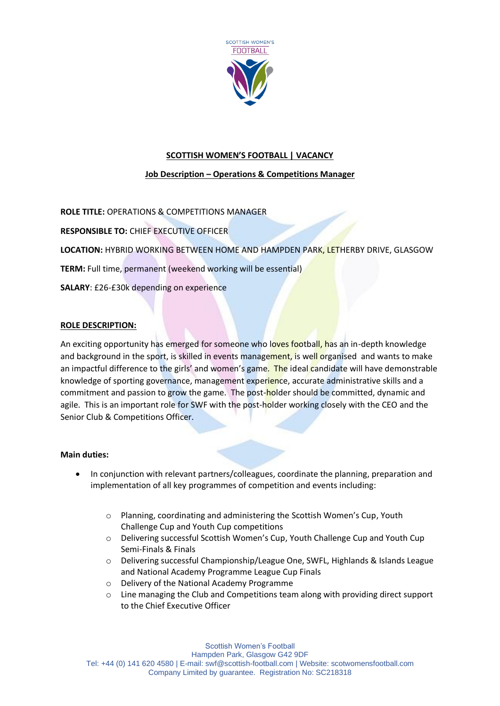

# **SCOTTISH WOMEN'S FOOTBALL | VACANCY**

# **Job Description – Operations & Competitions Manager**

**ROLE TITLE:** OPERATIONS & COMPETITIONS MANAGER

**RESPONSIBLE TO:** CHIEF EXECUTIVE OFFICER

**LOCATION:** HYBRID WORKING BETWEEN HOME AND HAMPDEN PARK, LETHERBY DRIVE, GLASGOW

**TERM:** Full time, permanent (weekend working will be essential)

**SALARY**: £26-£30k depending on experience

## **ROLE DESCRIPTION:**

An exciting opportunity has emerged for someone who loves football, has an in-depth knowledge and background in the sport, is skilled in events management, is well organised and wants to make an impactful difference to the girls' and women's game. The ideal candidate will have demonstrable knowledge of sporting governance, management experience, accurate administrative skills and a commitment and passion to grow the game. The post-holder should be committed, dynamic and agile. This is an important role for SWF with the post-holder working closely with the CEO and the Senior Club & Competitions Officer.

## **Main duties:**

- In conjunction with relevant partners/colleagues, coordinate the planning, preparation and implementation of all key programmes of competition and events including:
	- o Planning, coordinating and administering the Scottish Women's Cup, Youth Challenge Cup and Youth Cup competitions
	- o Delivering successful Scottish Women's Cup, Youth Challenge Cup and Youth Cup Semi-Finals & Finals
	- o Delivering successful Championship/League One, SWFL, Highlands & Islands League and National Academy Programme League Cup Finals
	- o Delivery of the National Academy Programme
	- o Line managing the Club and Competitions team along with providing direct support to the Chief Executive Officer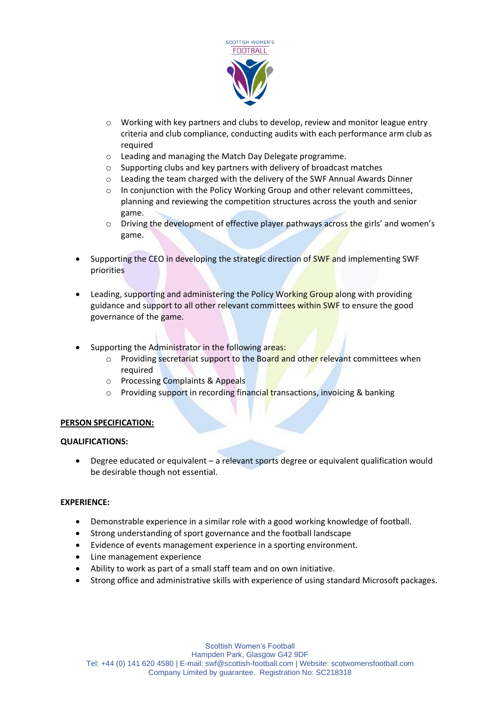

- o Working with key partners and clubs to develop, review and monitor league entry criteria and club compliance, conducting audits with each performance arm club as required
- o Leading and managing the Match Day Delegate programme.
- o Supporting clubs and key partners with delivery of broadcast matches
- o Leading the team charged with the delivery of the SWF Annual Awards Dinner
- $\circ$  In conjunction with the Policy Working Group and other relevant committees, planning and reviewing the competition structures across the youth and senior game.
- o Driving the development of effective player pathways across the girls' and women's game.
- Supporting the CEO in developing the strategic direction of **SWF** and implementing SWF priorities
- Leading, supporting and administering the Policy Working Group along with providing guidance and support to all other relevant committees within SWF to ensure the good governance of the game.
- Supporting the Administrator in the following areas:
	- $\circ$  Providing secretariat support to the Board and other relevant committees when required
	- o Processing Complaints & Appeals
	- o Providing support in recording financial transactions, invoicing & banking

## **PERSON SPECIFICATION:**

## **QUALIFICATIONS:**

• Degree educated or equivalent – a relevant sports degree or equivalent qualification would be desirable though not essential.

# **EXPERIENCE:**

- Demonstrable experience in a similar role with a good working knowledge of football.
- Strong understanding of sport governance and the football landscape
- Evidence of events management experience in a sporting environment.
- Line management experience
- Ability to work as part of a small staff team and on own initiative.
- Strong office and administrative skills with experience of using standard Microsoft packages.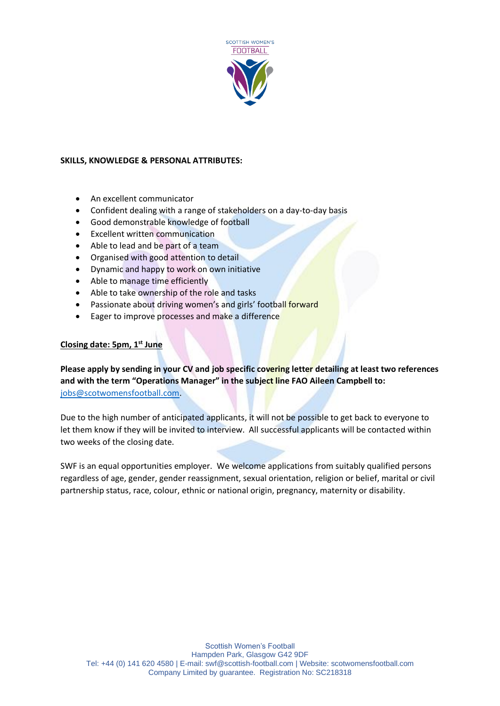

# **SKILLS, KNOWLEDGE & PERSONAL ATTRIBUTES:**

- An excellent communicator
- Confident dealing with a range of stakeholders on a day-to-day basis
- Good demonstrable knowledge of football
- **Excellent written communication**
- Able to lead and be part of a team
- Organised with good attention to detail
- Dynamic and happy to work on own initiative
- Able to manage time efficiently
- Able to take ownership of the role and tasks
- Passionate about driving women's and girls' football forward
- Eager to improve processes and make a difference

# **Closing date: 5pm, 1 st June**

**Please apply by sending in your CV and job specific covering letter detailing at least two references and with the term "Operations Manager" in the subject line FAO Aileen Campbell to:** [jobs@scotwomensfootball.com.](mailto:jobs@scotwomensfootball.com)

Due to the high number of anticipated applicants, it will not be possible to get back to everyone to let them know if they will be invited to interview. All successful applicants will be contacted within two weeks of the closing date.

SWF is an equal opportunities employer. We welcome applications from suitably qualified persons regardless of age, gender, gender reassignment, sexual orientation, religion or belief, marital or civil partnership status, race, colour, ethnic or national origin, pregnancy, maternity or disability.